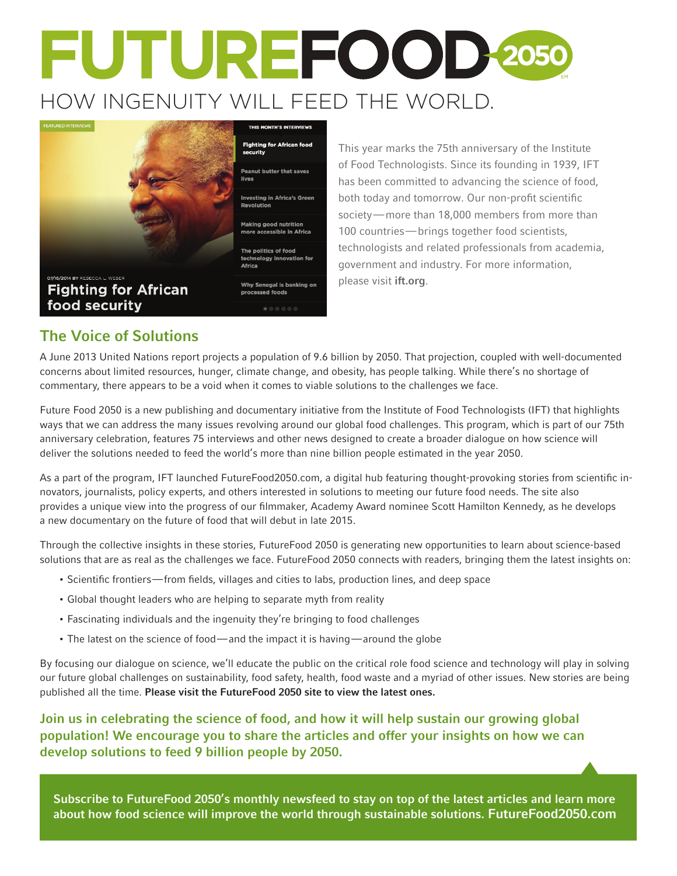# FUTUREFOOD-2050 HOW INGENUITY WILL FEED THE WORLD.



### The Voice of Solutions

A June 2013 United Nations report projects a population of 9.6 billion by 2050. That projection, coupled with well-documented concerns about limited resources, hunger, climate change, and obesity, has people talking. While there's no shortage of commentary, there appears to be a void when it comes to viable solutions to the challenges we face.

Future Food 2050 is a new publishing and documentary initiative from the Institute of Food Technologists (IFT) that highlights ways that we can address the many issues revolving around our global food challenges. This program, which is part of our 75th anniversary celebration, features 75 interviews and other news designed to create a broader dialogue on how science will deliver the solutions needed to feed the world's more than nine billion people estimated in the year 2050.

As a part of the program, IFT launched FutureFood2050.com, a digital hub featuring thought-provoking stories from scientific innovators, journalists, policy experts, and others interested in solutions to meeting our future food needs. The site also provides a unique view into the progress of our filmmaker, Academy Award nominee Scott Hamilton Kennedy, as he develops a new documentary on the future of food that will debut in late 2015.

Through the collective insights in these stories, FutureFood 2050 is generating new opportunities to learn about science-based solutions that are as real as the challenges we face. FutureFood 2050 connects with readers, bringing them the latest insights on:

- Scientific frontiers—from fields, villages and cities to labs, production lines, and deep space
- Global thought leaders who are helping to separate myth from reality
- Fascinating individuals and the ingenuity they're bringing to food challenges
- The latest on the science of food—and the impact it is having—around the globe

By focusing our dialogue on science, we'll educate the public on the critical role food science and technology will play in solving our future global challenges on sustainability, food safety, health, food waste and a myriad of other issues. New stories are being published all the time. Please visit the FutureFood 2050 site to view the latest ones.

Join us in celebrating the science of food, and how it will help sustain our growing global population! We encourage you to share the articles and offer your insights on how we can develop solutions to feed 9 billion people by 2050.

Subscribe to FutureFood 2050's monthly newsfeed to stay on top of the latest articles and learn more about how food science will improve the world through sustainable solutions. FutureFood2050.com